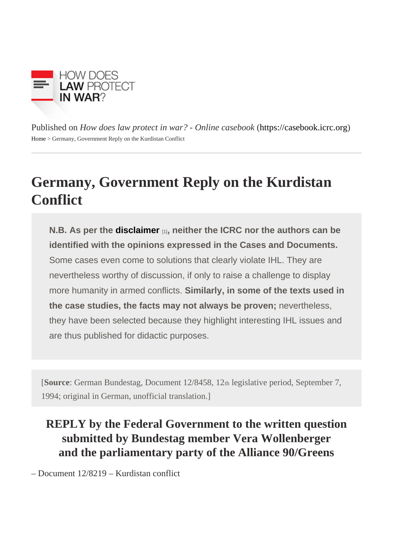Published on How does law protect in war? - Online caseboot in caseb[ook](https://casebook.icrc.org).icrc.org Home> Germany, Government Reply on the Kurdistan Conflict

## Germany, Government Reply on the Kurdistan **Conflict**

N.B. As per the [disclaimer](https://casebook.icrc.org/disclaimer-and-copyright)  $_{[1]}$ , neither the ICRC nor the authors can be identified with the opinions expressed in the Cases and Documents. Some cases even come to solutions that clearly violate IHL. They are nevertheless worthy of discussion, if only to raise a challenge to display more humanity in armed conflicts. Similarly, in some of the texts used in the case studies, the facts may not always be proven; nevertheless, they have been selected because they highlight interesting IHL issues and are thus published for didactic purposes.

[Source German Bundestag, Document 12/8458, Itagislative period, September 7, 1994; original in German, unofficial translation.]

REPLY by the Federal Government to the written question submitted by Bundestag member Vera Wollenberger and the parliamentary party of the Alliance 90/Greens

– Document 12/8219 – Kurdistan conflict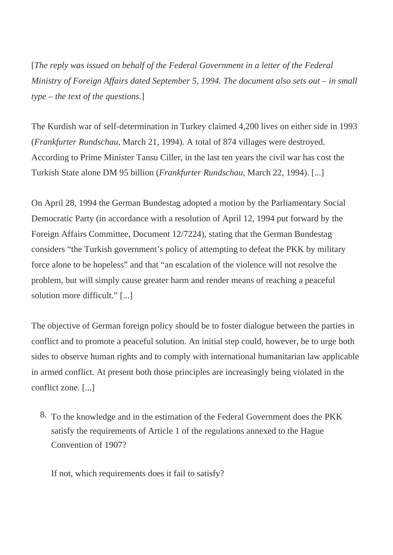[*The reply was issued on behalf of the Federal Government in a letter of the Federal Ministry of Foreign Affairs dated September 5, 1994. The document also sets out – in small type – the text of the questions.*]

The Kurdish war of self-determination in Turkey claimed 4,200 lives on either side in 1993 (*Frankfurter Rundschau*, March 21, 1994). A total of 874 villages were destroyed. According to Prime Minister Tansu Ciller, in the last ten years the civil war has cost the Turkish State alone DM 95 billion (*Frankfurter Rundschau*, March 22, 1994). [...]

On April 28, 1994 the German Bundestag adopted a motion by the Parliamentary Social Democratic Party (in accordance with a resolution of April 12, 1994 put forward by the Foreign Affairs Committee, Document 12/7224), stating that the German Bundestag considers "the Turkish government's policy of attempting to defeat the PKK by military force alone to be hopeless" and that "an escalation of the violence will not resolve the problem, but will simply cause greater harm and render means of reaching a peaceful solution more difficult." [...]

The objective of German foreign policy should be to foster dialogue between the parties in conflict and to promote a peaceful solution. An initial step could, however, be to urge both sides to observe human rights and to comply with international humanitarian law applicable in armed conflict. At present both those principles are increasingly being violated in the conflict zone. [...]

8. To the knowledge and in the estimation of the Federal Government does the PKK satisfy the requirements of Article 1 of the regulations annexed to the Hague Convention of 1907?

If not, which requirements does it fail to satisfy?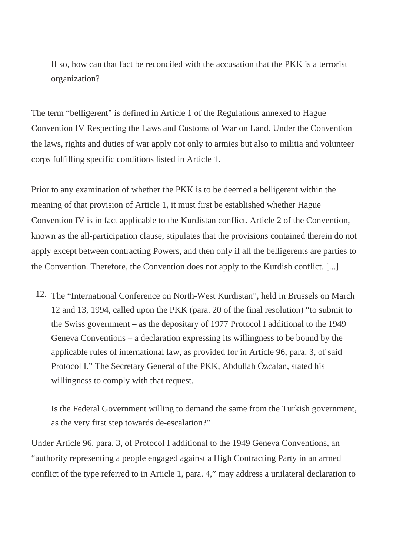If so, how can that fact be reconciled with the accusation that the PKK is a terrorist organization?

The term "belligerent" is defined in Article 1 of the Regulations annexed to Hague Convention IV Respecting the Laws and Customs of War on Land. Under the Convention the laws, rights and duties of war apply not only to armies but also to militia and volunteer corps fulfilling specific conditions listed in Article 1.

Prior to any examination of whether the PKK is to be deemed a belligerent within the meaning of that provision of Article 1, it must first be established whether Hague Convention IV is in fact applicable to the Kurdistan conflict. Article 2 of the Convention, known as the all-participation clause, stipulates that the provisions contained therein do not apply except between contracting Powers, and then only if all the belligerents are parties to the Convention. Therefore, the Convention does not apply to the Kurdish conflict. [...]

12. The "International Conference on North-West Kurdistan", held in Brussels on March 12 and 13, 1994, called upon the PKK (para. 20 of the final resolution) "to submit to the Swiss government – as the depositary of 1977 Protocol I additional to the 1949 Geneva Conventions – a declaration expressing its willingness to be bound by the applicable rules of international law, as provided for in Article 96, para. 3, of said Protocol I." The Secretary General of the PKK, Abdullah Özcalan, stated his willingness to comply with that request.

Is the Federal Government willing to demand the same from the Turkish government, as the very first step towards de-escalation?"

Under Article 96, para. 3, of Protocol I additional to the 1949 Geneva Conventions, an "authority representing a people engaged against a High Contracting Party in an armed conflict of the type referred to in Article 1, para. 4," may address a unilateral declaration to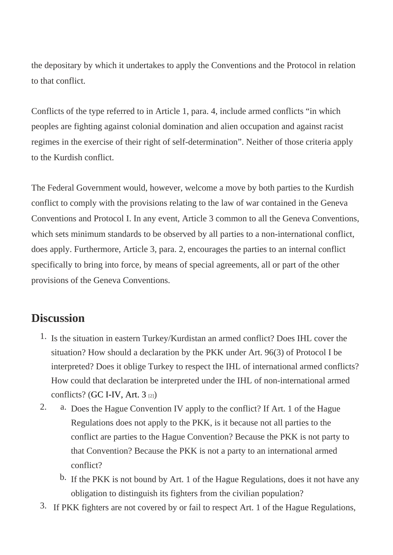the depositary by which it undertakes to apply the Conventions and the Protocol in relation to that conflict.

Conflicts of the type referred to in Article 1, para. 4, include armed conflicts "in which peoples are fighting against colonial domination and alien occupation and against racist regimes in the exercise of their right of self-determination". Neither of those criteria apply to the Kurdish conflict.

The Federal Government would, however, welcome a move by both parties to the Kurdish conflict to comply with the provisions relating to the law of war contained in the Geneva Conventions and Protocol I. In any event, Article 3 common to all the Geneva Conventions, which sets minimum standards to be observed by all parties to a non-international conflict, does apply. Furthermore, Article 3, para. 2, encourages the parties to an internal conflict specifically to bring into force, by means of special agreements, all or part of the other provisions of the Geneva Conventions.

## **Discussion**

- 1. Is the situation in eastern Turkey/Kurdistan an armed conflict? Does IHL cover the situation? How should a declaration by the PKK under Art. 96(3) of Protocol I be interpreted? Does it oblige Turkey to respect the IHL of international armed conflicts? How could that declaration be interpreted under the IHL of non-international armed conflicts? [\(GC I-IV, Art. 3](https://www.icrc.org/applic/ihl/ihl.nsf/Article.xsp?action=openDocument&documentId=BAA341028EBFF1E8C12563CD00519E66) [2])
- 2. a. Does the Hague Convention IV apply to the conflict? If Art. 1 of the Hague Regulations does not apply to the PKK, is it because not all parties to the conflict are parties to the Hague Convention? Because the PKK is not party to that Convention? Because the PKK is not a party to an international armed conflict?
	- b. If the PKK is not bound by Art. 1 of the Hague Regulations, does it not have any obligation to distinguish its fighters from the civilian population?
- 3. If PKK fighters are not covered by or fail to respect Art. 1 of the Hague Regulations,